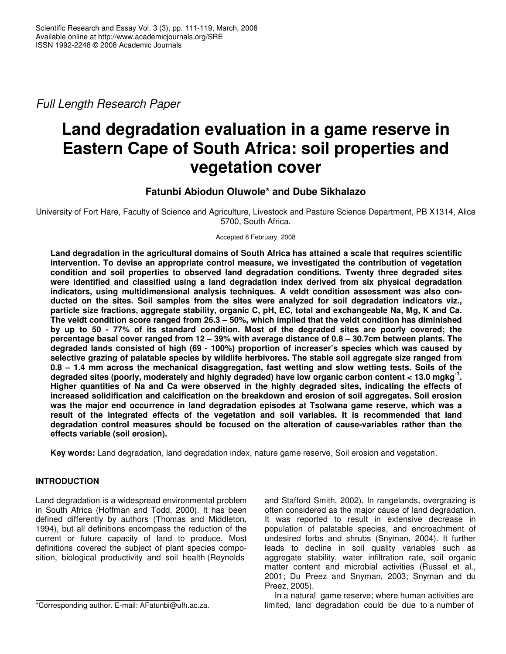*Full Length Research Paper*

# **Land degradation evaluation in a game reserve in Eastern Cape of South Africa: soil properties and vegetation cover**

# **Fatunbi Abiodun Oluwole\* and Dube Sikhalazo**

University of Fort Hare, Faculty of Science and Agriculture, Livestock and Pasture Science Department, PB X1314, Alice 5700, South Africa.

## Accepted 8 February, 2008

**Land degradation in the agricultural domains of South Africa has attained a scale that requires scientific intervention. To devise an appropriate control measure, we investigated the contribution of vegetation condition and soil properties to observed land degradation conditions. Twenty three degraded sites were identified and classified using a land degradation index derived from six physical degradation indicators, using multidimensional analysis techniques. A veldt condition assessment was also conducted on the sites. Soil samples from the sites were analyzed for soil degradation indicators viz., particle size fractions, aggregate stability, organic C, pH, EC, total and exchangeable Na, Mg, K and Ca. The veldt condition score ranged from 26.3 – 50%, which implied that the veldt condition has diminished** by up to 50 - 77% of its standard condition. Most of the degraded sites are poorly covered; the percentage basal cover ranged from 12 - 39% with average distance of 0.8 - 30.7cm between plants. The **degraded lands consisted of high (69 - 100%) proportion of increaser's species which was caused by selective grazing of palatable species by wildlife herbivores. The stable soil aggregate size ranged from 0.8 – 1.4 mm across the mechanical disaggregation, fast wetting and slow wetting tests. Soils of the degraded sites (poorly, moderately and highly degraded) have low organic carbon content < 13.0 mgkg -1 . Higher quantities of Na and Ca were observed in the highly degraded sites, indicating the effects of increased solidification and calcification on the breakdown and erosion of soil aggregates. Soil erosion was the major end occurrence in land degradation episodes at Tsolwana game reserve, which was a result of the integrated effects of the vegetation and soil variables. It is recommended that land degradation control measures should be focused on the alteration of cause-variables rather than the effects variable (soil erosion).**

**Key words:** Land degradation, land degradation index, nature game reserve, Soil erosion and vegetation.

## **INTRODUCTION**

Land degradation is a widespread environmental problem in South Africa (Hoffman and Todd, 2000). It has been defined differently by authors (Thomas and Middleton, 1994), but all definitions encompass the reduction of the current or future capacity of land to produce. Most definitions covered the subject of plant species composition, biological productivity and soil health (Reynolds

and Stafford Smith, 2002). In rangelands, overgrazing is often considered as the major cause of land degradation. It was reported to result in extensive decrease in population of palatable species, and encroachment of undesired forbs and shrubs (Snyman, 2004). It further leads to decline in soil quality variables such as aggregate stability, water infiltration rate, soil organic matter content and microbial activities (Russel et al., 2001; Du Preez and Snyman, 2003; Snyman and du Preez, 2005).

In a natural game reserve; where human activities are limited, land degradation could be due to a number of

<sup>\*</sup>Corresponding author. E-mail: AFatunbi@ufh.ac.za.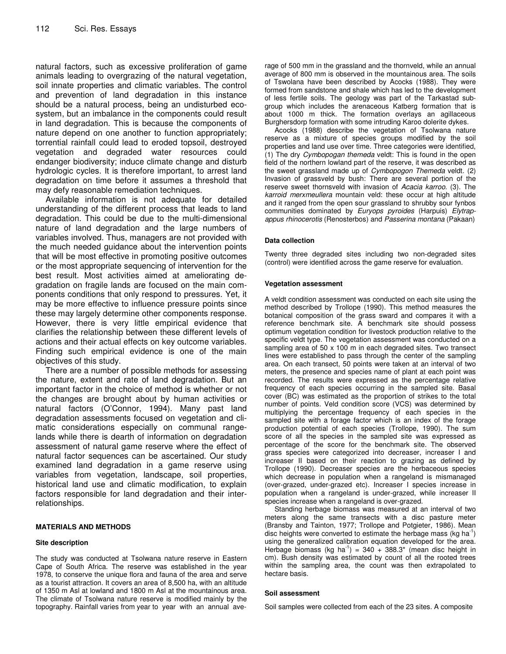natural factors, such as excessive proliferation of game animals leading to overgrazing of the natural vegetation, soil innate properties and climatic variables. The control and prevention of land degradation in this instance should be a natural process, being an undisturbed ecosystem, but an imbalance in the components could result in land degradation. This is because the components of nature depend on one another to function appropriately; torrential rainfall could lead to eroded topsoil, destroyed vegetation and degraded water resources could endanger biodiversity; induce climate change and disturb hydrologic cycles. It is therefore important, to arrest land degradation on time before it assumes a threshold that may defy reasonable remediation techniques.

Available information is not adequate for detailed understanding of the different process that leads to land degradation. This could be due to the multi-dimensional nature of land degradation and the large numbers of variables involved. Thus, managers are not provided with the much needed guidance about the intervention points that will be most effective in promoting positive outcomes or the most appropriate sequencing of intervention for the best result. Most activities aimed at ameliorating degradation on fragile lands are focused on the main components conditions that only respond to pressures. Yet, it may be more effective to influence pressure points since these may largely determine other components response. However, there is very little empirical evidence that clarifies the relationship between these different levels of actions and their actual effects on key outcome variables. Finding such empirical evidence is one of the main objectives of this study.

There are a number of possible methods for assessing the nature, extent and rate of land degradation. But an important factor in the choice of method is whether or not the changes are brought about by human activities or natural factors (O'Connor, 1994). Many past land degradation assessments focused on vegetation and climatic considerations especially on communal rangelands while there is dearth of information on degradation assessment of natural game reserve where the effect of natural factor sequences can be ascertained. Our study examined land degradation in a game reserve using variables from vegetation, landscape, soil properties, historical land use and climatic modification, to explain factors responsible for land degradation and their interrelationships.

## **MATERIALS AND METHODS**

#### **Site description**

The study was conducted at Tsolwana nature reserve in Eastern Cape of South Africa. The reserve was established in the year 1978, to conserve the unique flora and fauna of the area and serve as a tourist attraction. It covers an area of 8,500 ha, with an altitude of 1350 m Asl at lowland and 1800 m Asl at the mountainous area. The climate of Tsolwana nature reserve is modified mainly by the topography. Rainfall varies from year to year with an annual ave-

rage of 500 mm in the grassland and the thornveld, while an annual average of 800 mm is observed in the mountainous area. The soils of Tswolana have been described by Acocks (1988). They were formed from sandstone and shale which has led to the development of less fertile soils. The geology was part of the Tarkastad subgroup which includes the arenaceous Katberg formation that is about 1000 m thick. The formation overlays an agillaceous Burghersdorp formation with some intruding Karoo dolerite dykes.

Acocks (1988) describe the vegetation of Tsolwana nature reserve as a mixture of species groups modified by the soil properties and land use over time. Three categories were identified, (1) The dry *Cymbopogan themeda* veldt: This is found in the open field of the northern lowland part of the reserve, it was described as the sweet grassland made up of *Cymbopogon Themeda* veldt. (2) Invasion of grassveld by bush: There are several portion of the reserve sweet thornsveld with invasion of *Acacia karroo*. (3). The *karroid merxmeullera* mountain veld: these occur at high altitude and it ranged from the open sour grassland to shrubby sour fynbos communities dominated by *Euryops pyroides* (Harpuis) *Elytrapappus rhinocerotis* (Renosterbos) and *Passerina montana* (Pakaan)

#### **Data collection**

Twenty three degraded sites including two non-degraded sites (control) were identified across the game reserve for evaluation.

#### **Vegetation assessment**

A veldt condition assessment was conducted on each site using the method described by Trollope (1990). This method measures the botanical composition of the grass sward and compares it with a reference benchmark site. A benchmark site should possess optimum vegetation condition for livestock production relative to the specific veldt type. The vegetation assessment was conducted on a sampling area of 50 x 100 m in each degraded sites. Two transect lines were established to pass through the center of the sampling area. On each transect, 50 points were taken at an interval of two meters, the presence and species name of plant at each point was recorded. The results were expressed as the percentage relative frequency of each species occurring in the sampled site. Basal cover (BC) was estimated as the proportion of strikes to the total number of points. Veld condition score (VCS) was determined by multiplying the percentage frequency of each species in the sampled site with a forage factor which is an index of the forage production potential of each species (Trollope, 1990). The sum score of all the species in the sampled site was expressed as percentage of the score for the benchmark site. The observed grass species were categorized into decreaser, increaser I and increaser II based on their reaction to grazing as defined by Trollope (1990). Decreaser species are the herbaceous species which decrease in population when a rangeland is mismanaged (over-grazed, under-grazed etc). Increaser I species increase in population when a rangeland is under-grazed, while increaser II species increase when a rangeland is over-grazed.

Standing herbage biomass was measured at an interval of two meters along the same transects with a disc pasture meter (Bransby and Tainton, 1977; Trollope and Potgieter, 1986). Mean disc heights were converted to estimate the herbage mass (kg ha<sup>-1</sup>) using the generalized calibration equation developed for the area. Herbage biomass (kg ha<sup>-1</sup>) = 340 + 388.3<sup>\*</sup> (mean disc height in cm). Bush density was estimated by count of all the rooted trees within the sampling area, the count was then extrapolated to hectare basis.

#### **Soil assessment**

Soil samples were collected from each of the 23 sites. A composite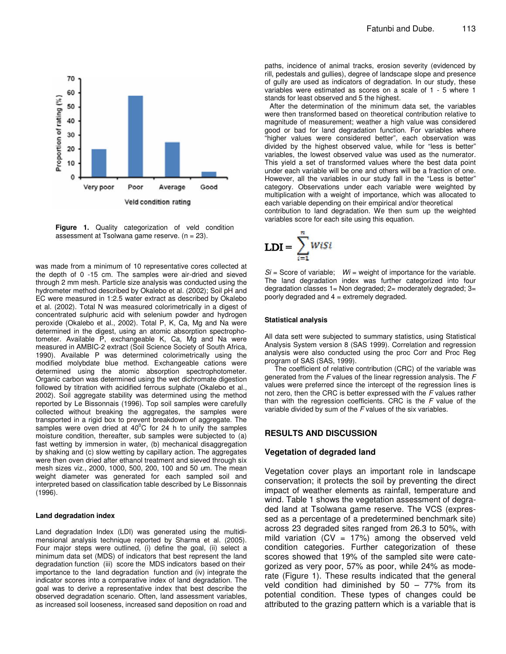

**Figure 1.** Quality categorization of veld condition assessment at Tsolwana game reserve. (n = 23).

was made from a minimum of 10 representative cores collected at the depth of 0 -15 cm. The samples were air-dried and sieved through 2 mm mesh. Particle size analysis was conducted using the hydrometer method described by Okalebo et al. (2002); Soil pH and EC were measured in 1:2.5 water extract as described by Okalebo et al. (2002). Total N was measured colorimetrically in a digest of concentrated sulphuric acid with selenium powder and hydrogen peroxide (Okalebo et al., 2002). Total P, K, Ca, Mg and Na were determined in the digest, using an atomic absorption spectrophotometer. Available P, exchangeable K, Ca, Mg and Na were measured in AMBIC-2 extract (Soil Science Society of South Africa, 1990). Available P was determined colorimetrically using the modified molybdate blue method. Exchangeable cations were determined using the atomic absorption spectrophotometer. Organic carbon was determined using the wet dichromate digestion followed by titration with acidified ferrous sulphate (Okalebo et al., 2002). Soil aggregate stability was determined using the method reported by Le Bissonnais (1996). Top soil samples were carefully collected without breaking the aggregates, the samples were transported in a rigid box to prevent breakdown of aggregate. The samples were oven dried at  $40^{\circ}$ C for 24 h to unify the samples moisture condition, thereafter, sub samples were subjected to (a) fast wetting by immersion in water, (b) mechanical disaggregation by shaking and (c) slow wetting by capillary action. The aggregates were then oven dried after ethanol treatment and sieved through six mesh sizes viz., 2000, 1000, 500, 200, 100 and 50 *u*m. The mean weight diameter was generated for each sampled soil and interpreted based on classification table described by Le Bissonnais (1996).

#### **Land degradation index**

Land degradation Index (LDI) was generated using the multidimensional analysis technique reported by Sharma et al. (2005). Four major steps were outlined, (i) define the goal, (ii) select a minimum data set (MDS) of indicators that best represent the land degradation function (iii) score the MDS indicators based on their importance to the land degradation function and (iv) integrate the indicator scores into a comparative index of land degradation. The goal was to derive a representative index that best describe the observed degradation scenario. Often, land assessment variables, as increased soil looseness, increased sand deposition on road and

paths, incidence of animal tracks, erosion severity (evidenced by rill, pedestals and gullies), degree of landscape slope and presence of gully are used as indicators of degradation. In our study, these variables were estimated as scores on a scale of 1 - 5 where 1 stands for least observed and 5 the highest.

After the determination of the minimum data set, the variables were then transformed based on theoretical contribution relative to magnitude of measurement; weather a high value was considered good or bad for land degradation function. For variables where "higher values were considered better", each observation was divided by the highest observed value, while for "less is better" variables, the lowest observed value was used as the numerator. This yield a set of transformed values where the best data point under each variable will be one and others will be a fraction of one. However, all the variables in our study fall in the "Less is better" category. Observations under each variable were weighted by multiplication with a weight of importance, which was allocated to each variable depending on their empirical and/or theoretical

contribution to land degradation. We then sum up the weighted variables score for each site using this equation.

$$
LDI = \sum_{i=1}^{n} WISi
$$

 $Si$  = Score of variable;  $Wi$  = weight of importance for the variable. The land degradation index was further categorized into four degradation classes 1= Non degraded; 2= moderately degraded; 3= poorly degraded and 4 = extremely degraded.

#### **Statistical analysis**

All data sett were subjected to summary statistics, using Statistical Analysis System version 8 (SAS 1999). Correlation and regression analysis were also conducted using the proc Corr and Proc Reg program of SAS (SAS, 1999).

The coefficient of relative contribution (CRC) of the variable was generated from the *F* values of the linear regression analysis. The *F* values were preferred since the intercept of the regression lines is not zero, then the CRC is better expressed with the *F* values rather than with the regression coefficients. CRC is the *F* value of the variable divided by sum of the *F* values of the six variables.

## **RESULTS AND DISCUSSION**

## **Vegetation of degraded land**

Vegetation cover plays an important role in landscape conservation; it protects the soil by preventing the direct impact of weather elements as rainfall, temperature and wind. Table 1 shows the vegetation assessment of degraded land at Tsolwana game reserve. The VCS (expressed as a percentage of a predetermined benchmark site) across 23 degraded sites ranged from 26.3 to 50%, with mild variation (CV = 17%) among the observed veld condition categories. Further categorization of these scores showed that 19% of the sampled site were categorized as very poor, 57% as poor, while 24% as moderate (Figure 1). These results indicated that the general veld condition had diminished by  $50 - 77\%$  from its potential condition. These types of changes could be attributed to the grazing pattern which is a variable that is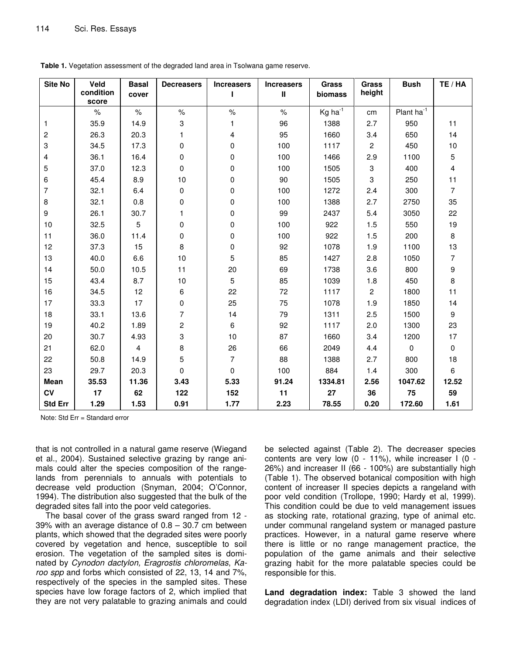| Site No        | Veld               | <b>Basal</b>   | <b>Decreasers</b>       | <b>Increasers</b> | <b>Increasers</b> | <b>Grass</b>         | <b>Grass</b>              | <b>Bush</b>     | TE / HA          |
|----------------|--------------------|----------------|-------------------------|-------------------|-------------------|----------------------|---------------------------|-----------------|------------------|
|                | condition<br>score | cover          |                         | ı                 | Ш                 | biomass              | height                    |                 |                  |
|                | $\%$               | $\%$           | $\%$                    | $\%$              | $\%$              | Kg ha $\overline{1}$ | cm                        | Plant $ha^{-1}$ |                  |
| 1              | 35.9               | 14.9           | 3                       | 1                 | 96                | 1388                 | 2.7                       | 950             | 11               |
| 2              | 26.3               | 20.3           | 1                       | 4                 | 95                | 1660                 | 3.4                       | 650             | 14               |
| 3              | 34.5               | 17.3           | 0                       | 0                 | 100               | 1117                 | $\overline{c}$            | 450             | 10               |
| 4              | 36.1               | 16.4           | 0                       | 0                 | 100               | 1466                 | 2.9                       | 1100            | $\mathbf 5$      |
| 5              | 37.0               | 12.3           | 0                       | 0                 | 100               | 1505                 | $\ensuremath{\mathsf{3}}$ | 400             | $\overline{4}$   |
| 6              | 45.4               | 8.9            | 10                      | 0                 | 90                | 1505                 | 3                         | 250             | 11               |
| 7              | 32.1               | 6.4            | 0                       | 0                 | 100               | 1272                 | 2.4                       | 300             | $\overline{7}$   |
| 8              | 32.1               | 0.8            | 0                       | 0                 | 100               | 1388                 | 2.7                       | 2750            | 35               |
| 9              | 26.1               | 30.7           | 1                       | 0                 | 99                | 2437                 | 5.4                       | 3050            | 22               |
| 10             | 32.5               | 5              | 0                       | 0                 | 100               | 922                  | 1.5                       | 550             | 19               |
| 11             | 36.0               | 11.4           | 0                       | 0                 | 100               | 922                  | 1.5                       | 200             | $\,8\,$          |
| 12             | 37.3               | 15             | 8                       | 0                 | 92                | 1078                 | 1.9                       | 1100            | 13               |
| 13             | 40.0               | 6.6            | 10                      | 5                 | 85                | 1427                 | 2.8                       | 1050            | $\overline{7}$   |
| 14             | 50.0               | 10.5           | 11                      | 20                | 69                | 1738                 | 3.6                       | 800             | 9                |
| 15             | 43.4               | 8.7            | 10                      | 5                 | 85                | 1039                 | 1.8                       | 450             | 8                |
| 16             | 34.5               | 12             | 6                       | 22                | 72                | 1117                 | $\overline{c}$            | 1800            | 11               |
| 17             | 33.3               | 17             | 0                       | 25                | 75                | 1078                 | 1.9                       | 1850            | 14               |
| 18             | 33.1               | 13.6           | 7                       | 14                | 79                | 1311                 | 2.5                       | 1500            | $\boldsymbol{9}$ |
| 19             | 40.2               | 1.89           | $\overline{\mathbf{c}}$ | 6                 | 92                | 1117                 | 2.0                       | 1300            | 23               |
| 20             | 30.7               | 4.93           | 3                       | 10                | 87                | 1660                 | 3.4                       | 1200            | 17               |
| 21             | 62.0               | $\overline{4}$ | 8                       | 26                | 66                | 2049                 | 4.4                       | $\pmb{0}$       | $\pmb{0}$        |
| 22             | 50.8               | 14.9           | 5                       | $\overline{7}$    | 88                | 1388                 | 2.7                       | 800             | 18               |
| 23             | 29.7               | 20.3           | 0                       | $\pmb{0}$         | 100               | 884                  | 1.4                       | 300             | 6                |
| Mean           | 35.53              | 11.36          | 3.43                    | 5.33              | 91.24             | 1334.81              | 2.56                      | 1047.62         | 12.52            |
| CV             | 17                 | 62             | 122                     | 152               | 11                | 27                   | 36                        | 75              | 59               |
| <b>Std Err</b> | 1.29               | 1.53           | 0.91                    | 1.77              | 2.23              | 78.55                | 0.20                      | 172.60          | 1.61             |

**Table 1.** Vegetation assessment of the degraded land area in Tsolwana game reserve.

Note: Std Err = Standard error

that is not controlled in a natural game reserve (Wiegand et al., 2004). Sustained selective grazing by range animals could alter the species composition of the rangelands from perennials to annuals with potentials to decrease veld production (Snyman, 2004; O'Connor, 1994). The distribution also suggested that the bulk of the degraded sites fall into the poor veld categories.

The basal cover of the grass sward ranged from 12 - 39% with an average distance of 0.8 – 30.7 cm between plants, which showed that the degraded sites were poorly covered by vegetation and hence, susceptible to soil erosion. The vegetation of the sampled sites is dominated by *Cynodon dactylon, Eragrostis chloromelas*, *Karoo spp* and forbs which consisted of 22, 13, 14 and 7%, respectively of the species in the sampled sites. These species have low forage factors of 2, which implied that they are not very palatable to grazing animals and could

be selected against (Table 2). The decreaser species contents are very low (0 - 11%), while increaser I (0 - 26%) and increaser II (66 - 100%) are substantially high (Table 1). The observed botanical composition with high content of increaser II species depicts a rangeland with poor veld condition (Trollope, 1990; Hardy et al, 1999). This condition could be due to veld management issues as stocking rate, rotational grazing, type of animal etc. under communal rangeland system or managed pasture practices. However, in a natural game reserve where there is little or no range management practice, the population of the game animals and their selective grazing habit for the more palatable species could be responsible for this.

**Land degradation index:** Table 3 showed the land degradation index (LDI) derived from six visual indices of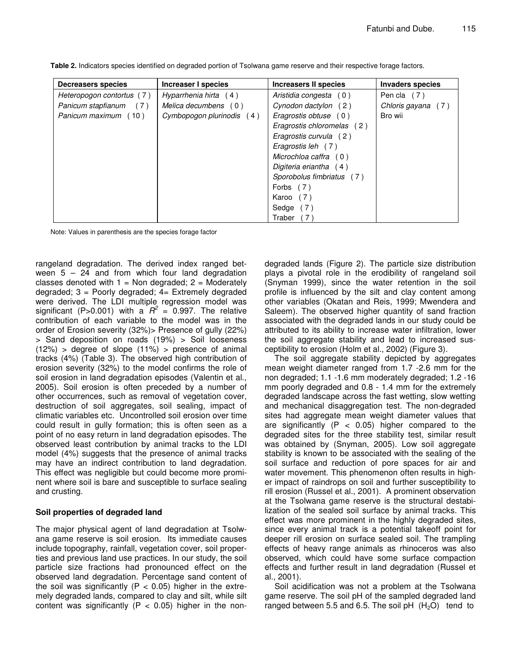| Decreasers species        | Increaser I species       | <b>Increasers II species</b> | <b>Invaders species</b> |  |
|---------------------------|---------------------------|------------------------------|-------------------------|--|
| Heteropogon contortus (7) | Hyparrhenia hirta (4)     | Aristidia congesta (0)       | Pen cla $(7)$           |  |
| Panicum stapfianum (7)    | Melica decumbens (0)      | Cynodon dactylon $(2)$       | Chloris gayana (7)      |  |
| Panicum maximum (10)      | Cymbopogon plurinodis (4) | Eragrostis obtuse $(0)$      | Bro wii                 |  |
|                           |                           | Eragrostis chloromelas (2)   |                         |  |
|                           |                           | Eragrostis curvula (2)       |                         |  |
|                           |                           | Eragrostis leh (7)           |                         |  |
|                           |                           | Microchloa caffra (0)        |                         |  |
|                           |                           | Digiteria eriantha (4)       |                         |  |
|                           |                           | Sporobolus fimbriatus (7)    |                         |  |
|                           |                           | Forbs (7)                    |                         |  |
|                           |                           | Karoo (7)                    |                         |  |
|                           |                           | Sedge (7)                    |                         |  |
|                           |                           | Traber<br>7                  |                         |  |

**Table 2.** Indicators species identified on degraded portion of Tsolwana game reserve and their respective forage factors.

Note: Values in parenthesis are the species forage factor

rangeland degradation. The derived index ranged between  $5 - 24$  and from which four land degradation classes denoted with  $1 =$  Non degraded;  $2 =$  Moderately degraded; 3 = Poorly degraded; 4= Extremely degraded were derived. The LDI multiple regression model was significant (P>0.001) with a  $R^2$  = 0.997. The relative contribution of each variable to the model was in the order of Erosion severity (32%)> Presence of gully (22%) > Sand deposition on roads (19%) > Soil looseness  $(12%)$  > degree of slope  $(11%)$  > presence of animal tracks (4%) (Table 3). The observed high contribution of erosion severity (32%) to the model confirms the role of soil erosion in land degradation episodes (Valentin et al., 2005). Soil erosion is often preceded by a number of other occurrences, such as removal of vegetation cover, destruction of soil aggregates, soil sealing, impact of climatic variables etc. Uncontrolled soil erosion over time could result in gully formation; this is often seen as a point of no easy return in land degradation episodes. The observed least contribution by animal tracks to the LDI model (4%) suggests that the presence of animal tracks may have an indirect contribution to land degradation. This effect was negligible but could become more prominent where soil is bare and susceptible to surface sealing and crusting.

## **Soil properties of degraded land**

The major physical agent of land degradation at Tsolwana game reserve is soil erosion. Its immediate causes include topography, rainfall, vegetation cover, soil properties and previous land use practices. In our study, the soil particle size fractions had pronounced effect on the observed land degradation. Percentage sand content of the soil was significantly ( $P < 0.05$ ) higher in the extremely degraded lands, compared to clay and silt, while silt content was significantly ( $P < 0.05$ ) higher in the non-

degraded lands (Figure 2). The particle size distribution plays a pivotal role in the erodibility of rangeland soil (Snyman 1999), since the water retention in the soil profile is influenced by the silt and clay content among other variables (Okatan and Reis, 1999; Mwendera and Saleem). The observed higher quantity of sand fraction associated with the degraded lands in our study could be attributed to its ability to increase water infiltration, lower the soil aggregate stability and lead to increased susceptibility to erosion (Holm et al., 2002) (Figure 3).

The soil aggregate stability depicted by aggregates mean weight diameter ranged from 1.7 -2.6 mm for the non degraded; 1.1 -1.6 mm moderately degraded; 1.2 -16 mm poorly degraded and 0.8 - 1.4 mm for the extremely degraded landscape across the fast wetting, slow wetting and mechanical disaggregation test. The non-degraded sites had aggregate mean weight diameter values that are significantly  $(P < 0.05)$  higher compared to the degraded sites for the three stability test, similar result was obtained by (Snyman, 2005). Low soil aggregate stability is known to be associated with the sealing of the soil surface and reduction of pore spaces for air and water movement. This phenomenon often results in higher impact of raindrops on soil and further susceptibility to rill erosion (Russel et al., 2001). A prominent observation at the Tsolwana game reserve is the structural destabilization of the sealed soil surface by animal tracks. This effect was more prominent in the highly degraded sites, since every animal track is a potential takeoff point for deeper rill erosion on surface sealed soil. The trampling effects of heavy range animals as rhinoceros was also observed, which could have some surface compaction effects and further result in land degradation (Russel et al., 2001).

Soil acidification was not a problem at the Tsolwana game reserve. The soil pH of the sampled degraded land ranged between 5.5 and 6.5. The soil pH  $(H<sub>2</sub>O)$  tend to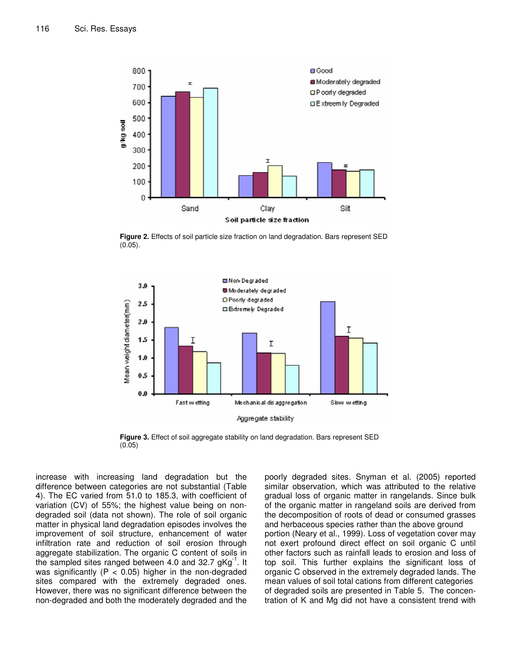

**Figure 2.** Effects of soil particle size fraction on land degradation. Bars represent SED (0.05).



**Figure 3.** Effect of soil aggregate stability on land degradation. Bars represent SED (0.05)

increase with increasing land degradation but the difference between categories are not substantial (Table 4). The EC varied from 51.0 to 185.3, with coefficient of variation (CV) of 55%; the highest value being on nondegraded soil (data not shown). The role of soil organic matter in physical land degradation episodes involves the improvement of soil structure, enhancement of water infiltration rate and reduction of soil erosion through aggregate stabilization. The organic C content of soils in the sampled sites ranged between 4.0 and 32.7  $gKg^{-1}$ . It was significantly ( $P < 0.05$ ) higher in the non-degraded sites compared with the extremely degraded ones. However, there was no significant difference between the non-degraded and both the moderately degraded and the

poorly degraded sites. Snyman et al. (2005) reported similar observation, which was attributed to the relative gradual loss of organic matter in rangelands. Since bulk of the organic matter in rangeland soils are derived from the decomposition of roots of dead or consumed grasses and herbaceous species rather than the above ground portion (Neary et al., 1999). Loss of vegetation cover may not exert profound direct effect on soil organic C until other factors such as rainfall leads to erosion and loss of top soil. This further explains the significant loss of organic C observed in the extremely degraded lands. The mean values of soil total cations from different categories of degraded soils are presented in Table 5. The concentration of K and Mg did not have a consistent trend with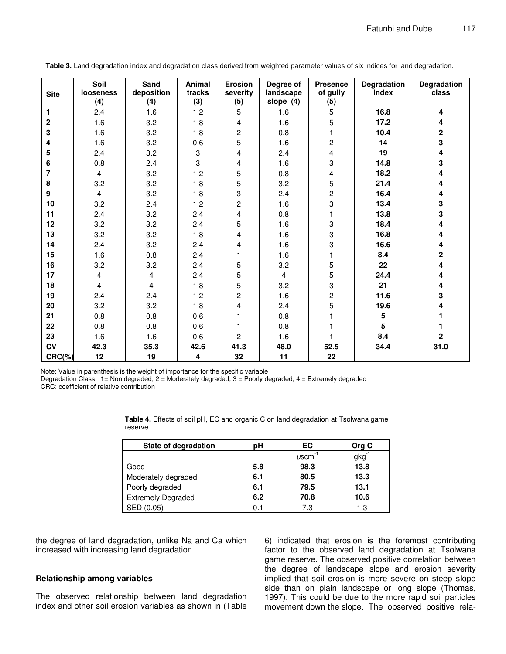| <b>Site</b>             | Soil<br><b>looseness</b><br>(4) | Sand<br>deposition<br>(4) | Animal<br>tracks<br>(3) | <b>Erosion</b><br>severity<br>(5) | Degree of<br>landscape<br>slope $(4)$ | <b>Presence</b><br>of gully<br>(5) | Degradation<br><b>Index</b> | Degradation<br>class |
|-------------------------|---------------------------------|---------------------------|-------------------------|-----------------------------------|---------------------------------------|------------------------------------|-----------------------------|----------------------|
| $\mathbf{1}$            | 2.4                             | 1.6                       | 1.2                     | 5                                 | 1.6                                   | $\overline{5}$                     | 16.8                        | 4                    |
| $\boldsymbol{2}$        | 1.6                             | 3.2                       | 1.8                     | $\overline{\mathbf{4}}$           | 1.6                                   | 5                                  | 17.2                        | 4                    |
| 3                       | 1.6                             | 3.2                       | 1.8                     | $\boldsymbol{2}$                  | 0.8                                   | 1                                  | 10.4                        | $\mathbf 2$          |
| 4                       | 1.6                             | 3.2                       | 0.6                     | 5                                 | 1.6                                   | 2                                  | 14                          | 3                    |
| $\overline{\mathbf{5}}$ | 2.4                             | 3.2                       | 3                       | $\overline{4}$                    | 2.4                                   | $\overline{\mathbf{4}}$            | 19                          | 4                    |
| $\bf 6$                 | 0.8                             | 2.4                       | 3                       | $\overline{\mathbf{4}}$           | 1.6                                   | 3                                  | 14.8                        | 3                    |
| $\overline{7}$          | $\overline{4}$                  | 3.2                       | 1.2                     | 5                                 | 0.8                                   | 4                                  | 18.2                        | 4                    |
| 8                       | 3.2                             | 3.2                       | 1.8                     | $\overline{5}$                    | 3.2                                   | 5                                  | 21.4                        | 4                    |
| 9                       | $\overline{4}$                  | 3.2                       | 1.8                     | 3                                 | 2.4                                   | $\overline{c}$                     | 16.4                        | 4                    |
| 10                      | 3.2                             | 2.4                       | 1.2                     | $\overline{c}$                    | 1.6                                   | 3                                  | 13.4                        | 3                    |
| 11                      | 2.4                             | 3.2                       | 2.4                     | $\overline{\mathbf{4}}$           | 0.8                                   | $\mathbf{1}$                       | 13.8                        | 3                    |
| 12                      | 3.2                             | 3.2                       | 2.4                     | 5                                 | 1.6                                   | 3                                  | 18.4                        | 4                    |
| 13                      | 3.2                             | 3.2                       | 1.8                     | $\overline{\mathbf{4}}$           | 1.6                                   | 3                                  | 16.8                        | 4                    |
| 14                      | 2.4                             | 3.2                       | 2.4                     | 4                                 | 1.6                                   | 3                                  | 16.6                        | 4                    |
| 15                      | 1.6                             | 0.8                       | 2.4                     | 1                                 | 1.6                                   | 1                                  | 8.4                         | $\mathbf 2$          |
| 16                      | 3.2                             | 3.2                       | 2.4                     | 5                                 | 3.2                                   | 5                                  | 22                          | 4                    |
| 17                      | $\overline{4}$                  | $\overline{4}$            | 2.4                     | $\overline{5}$                    | $\overline{4}$                        | 5                                  | 24.4                        | 4                    |
| 18                      | $\overline{4}$                  | $\overline{4}$            | 1.8                     | $\overline{5}$                    | 3.2                                   | 3                                  | 21                          | 4                    |
| 19                      | 2.4                             | 2.4                       | 1.2                     | $\boldsymbol{2}$                  | 1.6                                   | 2                                  | 11.6                        | 3                    |
| 20                      | 3.2                             | 3.2                       | 1.8                     | $\overline{\mathbf{4}}$           | 2.4                                   | 5                                  | 19.6                        | 4                    |
| 21                      | 0.8                             | 0.8                       | 0.6                     | 1                                 | 0.8                                   |                                    | 5                           |                      |
| 22                      | 0.8                             | 0.8                       | 0.6                     | 1                                 | 0.8                                   |                                    | 5                           |                      |
| 23                      | 1.6                             | 1.6                       | 0.6                     | $\overline{2}$                    | 1.6                                   |                                    | 8.4                         | 2                    |
| CV                      | 42.3                            | 35.3                      | 42.6                    | 41.3                              | 48.0                                  | 52.5                               | 34.4                        | 31.0                 |
| $CRC$ (%)               | 12                              | 19                        | 4                       | 32                                | 11                                    | 22                                 |                             |                      |

**Table 3.** Land degradation index and degradation class derived from weighted parameter values of six indices for land degradation.

Note: Value in parenthesis is the weight of importance for the specific variable

Degradation Class: 1= Non degraded; 2 = Moderately degraded; 3 = Poorly degraded; 4 = Extremely degraded CRC: coefficient of relative contribution

| State of degradation      | рH  | EC                | Org C      |
|---------------------------|-----|-------------------|------------|
|                           |     | $\mu$ scm $^{-1}$ | $gkg^{-1}$ |
| Good                      | 5.8 | 98.3              | 13.8       |
| Moderately degraded       | 6.1 | 80.5              | 13.3       |
| Poorly degraded           | 6.1 | 79.5              | 13.1       |
| <b>Extremely Degraded</b> | 6.2 | 70.8              | 10.6       |
| SED (0.05)                | 0.1 | 7.3               | 1.3        |

**Table 4.** Effects of soil pH, EC and organic C on land degradation at Tsolwana game reserve.

the degree of land degradation, unlike Na and Ca which increased with increasing land degradation.

## **Relationship among variables**

The observed relationship between land degradation index and other soil erosion variables as shown in (Table 6) indicated that erosion is the foremost contributing factor to the observed land degradation at Tsolwana game reserve. The observed positive correlation between the degree of landscape slope and erosion severity implied that soil erosion is more severe on steep slope side than on plain landscape or long slope (Thomas, 1997). This could be due to the more rapid soil particles movement down the slope. The observed positive rela-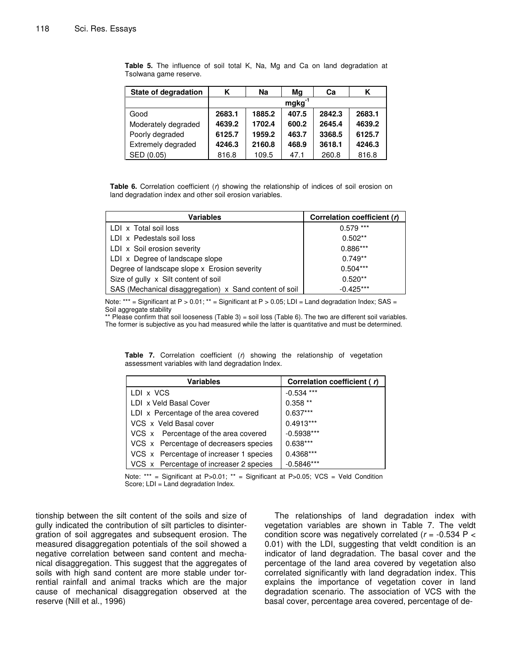| State of degradation | Κ      | Na     | Mq          | Cа     | Κ      |
|----------------------|--------|--------|-------------|--------|--------|
|                      |        |        | $mgkg^{-1}$ |        |        |
| Good                 | 2683.1 | 1885.2 | 407.5       | 2842.3 | 2683.1 |
| Moderately degraded  | 4639.2 | 1702.4 | 600.2       | 2645.4 | 4639.2 |
| Poorly degraded      | 6125.7 | 1959.2 | 463.7       | 3368.5 | 6125.7 |
| Extremely degraded   | 4246.3 | 2160.8 | 468.9       | 3618.1 | 4246.3 |
| SED (0.05)           | 816.8  | 109.5  | 47.1        | 260.8  | 816.8  |

**Table 5.** The influence of soil total K, Na, Mg and Ca on land degradation at Tsolwana game reserve.

**Table 6.** Correlation coefficient (*r*) showing the relationship of indices of soil erosion on land degradation index and other soil erosion variables.

| <b>Variables</b>                                       | Correlation coefficient (r) |
|--------------------------------------------------------|-----------------------------|
| LDI x Total soil loss                                  | $0.579***$                  |
| LDI x Pedestals soil loss                              | $0.502**$                   |
| LDI x Soil erosion severity                            | $0.886***$                  |
| LDI x Degree of landscape slope                        | $0.749**$                   |
| Degree of landscape slope x Erosion severity           | $0.504***$                  |
| Size of gully x Silt content of soil                   | $0.520**$                   |
| SAS (Mechanical disaggregation) x Sand content of soil | $-0.425***$                 |

Note: \*\*\* = Significant at  $P > 0.01$ ; \*\* = Significant at  $P > 0.05$ ; LDI = Land degradation Index; SAS = Soil aggregate stability

\*\* Please confirm that soil looseness (Table 3) = soil loss (Table 6). The two are different soil variables. The former is subjective as you had measured while the latter is quantitative and must be determined.

**Table 7.** Correlation coefficient (*r*) showing the relationship of vegetation assessment variables with land degradation Index.

| <b>Variables</b>                        | Correlation coefficient ( r) |
|-----------------------------------------|------------------------------|
| LDI x VCS                               | $-0.534$ ***                 |
| LDI x Veld Basal Cover                  | $0.358**$                    |
| LDI x Percentage of the area covered    | $0.637***$                   |
| VCS x Veld Basal cover                  | $0.4913***$                  |
| VCS x Percentage of the area covered    | $-0.5938***$                 |
| VCS x Percentage of decreasers species  | $0.638***$                   |
| VCS x Percentage of increaser 1 species | 0.4368***                    |
| VCS x Percentage of increaser 2 species | $-0.5846***$                 |

Note: \*\*\* = Significant at  $P > 0.01$ ; \*\* = Significant at  $P > 0.05$ ; VCS = Veld Condition Score; LDI = Land degradation Index.

tionship between the silt content of the soils and size of gully indicated the contribution of silt particles to disintergration of soil aggregates and subsequent erosion. The measured disaggregation potentials of the soil showed a negative correlation between sand content and mechanical disaggregation. This suggest that the aggregates of soils with high sand content are more stable under torrential rainfall and animal tracks which are the major cause of mechanical disaggregation observed at the reserve (Nill et al., 1996)

The relationships of land degradation index with vegetation variables are shown in Table 7. The veldt condition score was negatively correlated (*r* = -0.534 P < 0.01) with the LDI, suggesting that veldt condition is an indicator of land degradation. The basal cover and the percentage of the land area covered by vegetation also correlated significantly with land degradation index. This explains the importance of vegetation cover in land degradation scenario. The association of VCS with the basal cover, percentage area covered, percentage of de